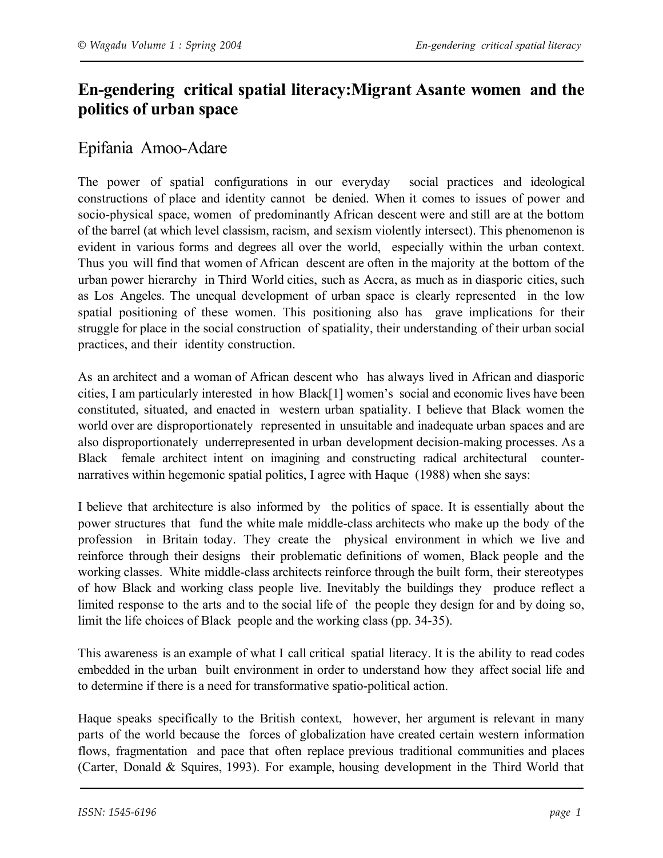# **En-gendering critical spatial literacy:Migrant Asante women and the politics of urban space**

## Epifania Amoo-Adare

The power of spatial configurations in our everyday social practices and ideological constructions of place and identity cannot be denied. When it comes to issues of power and socio-physical space, women of predominantly African descent were and still are at the bottom of the barrel (at which level classism, racism, and sexism violently intersect). This phenomenon is evident in various forms and degrees all over the world, especially within the urban context. Thus you will find that women of African descent are often in the majority at the bottom of the urban power hierarchy in Third World cities, such as Accra, as much as in diasporic cities, such as Los Angeles. The unequal development of urban space is clearly represented in the low spatial positioning of these women. This positioning also has grave implications for their struggle for place in the social construction of spatiality, their understanding of their urban social practices, and their identity construction.

As an architect and a woman of African descent who has always lived in African and diasporic cities, I am particularly interested in how Black[1] women's social and economic lives have been constituted, situated, and enacted in western urban spatiality. I believe that Black women the world over are disproportionately represented in unsuitable and inadequate urban spaces and are also disproportionately underrepresented in urban development decision-making processes. As a Black female architect intent on imagining and constructing radical architectural counternarratives within hegemonic spatial politics, I agree with Haque (1988) when she says:

I believe that architecture is also informed by the politics of space. It is essentially about the power structures that fund the white male middle-class architects who make up the body of the profession in Britain today. They create the physical environment in which we live and reinforce through their designs their problematic definitions of women, Black people and the working classes. White middle-class architects reinforce through the built form, their stereotypes of how Black and working class people live. Inevitably the buildings they produce reflect a limited response to the arts and to the social life of the people they design for and by doing so, limit the life choices of Black people and the working class (pp. 34-35).

This awareness is an example of what I call critical spatial literacy. It is the ability to read codes embedded in the urban built environment in order to understand how they affect social life and to determine if there is a need for transformative spatio-political action.

Haque speaks specifically to the British context, however, her argument is relevant in many parts of the world because the forces of globalization have created certain western information flows, fragmentation and pace that often replace previous traditional communities and places (Carter, Donald & Squires, 1993). For example, housing development in the Third World that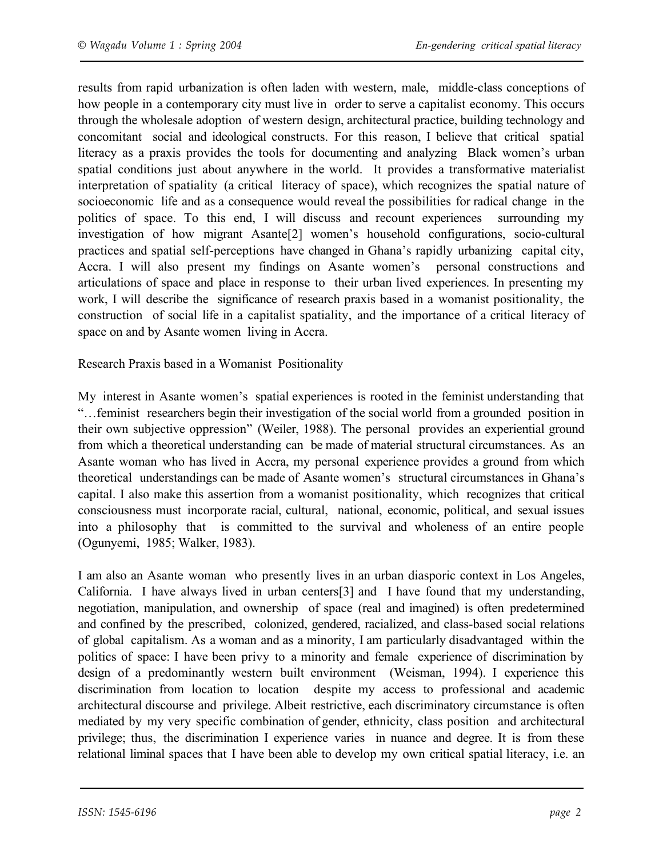results from rapid urbanization is often laden with western, male, middle-class conceptions of how people in a contemporary city must live in order to serve a capitalist economy. This occurs through the wholesale adoption of western design, architectural practice, building technology and concomitant social and ideological constructs. For this reason, I believe that critical spatial literacy as a praxis provides the tools for documenting and analyzing Black women's urban spatial conditions just about anywhere in the world. It provides a transformative materialist interpretation of spatiality (a critical literacy of space), which recognizes the spatial nature of socioeconomic life and as a consequence would reveal the possibilities for radical change in the politics of space. To this end, I will discuss and recount experiences surrounding my investigation of how migrant Asante[2] women's household configurations, socio-cultural practices and spatial self-perceptions have changed in Ghana's rapidly urbanizing capital city, Accra. I will also present my findings on Asante women's personal constructions and articulations of space and place in response to their urban lived experiences. In presenting my work, I will describe the significance of research praxis based in a womanist positionality, the construction of social life in a capitalist spatiality, and the importance of a critical literacy of space on and by Asante women living in Accra.

Research Praxis based in a Womanist Positionality

My interest in Asante women's spatial experiences is rooted in the feminist understanding that "…feminist researchers begin their investigation of the social world from a grounded position in their own subjective oppression" (Weiler, 1988). The personal provides an experiential ground from which a theoretical understanding can be made of material structural circumstances. As an Asante woman who has lived in Accra, my personal experience provides a ground from which theoretical understandings can be made of Asante women's structural circumstances in Ghana's capital. I also make this assertion from a womanist positionality, which recognizes that critical consciousness must incorporate racial, cultural, national, economic, political, and sexual issues into a philosophy that is committed to the survival and wholeness of an entire people (Ogunyemi, 1985; Walker, 1983).

I am also an Asante woman who presently lives in an urban diasporic context in Los Angeles, California. I have always lived in urban centers[3] and I have found that my understanding, negotiation, manipulation, and ownership of space (real and imagined) is often predetermined and confined by the prescribed, colonized, gendered, racialized, and class-based social relations of global capitalism. As a woman and as a minority, I am particularly disadvantaged within the politics of space: I have been privy to a minority and female experience of discrimination by design of a predominantly western built environment (Weisman, 1994). I experience this discrimination from location to location despite my access to professional and academic architectural discourse and privilege. Albeit restrictive, each discriminatory circumstance is often mediated by my very specific combination of gender, ethnicity, class position and architectural privilege; thus, the discrimination I experience varies in nuance and degree. It is from these relational liminal spaces that I have been able to develop my own critical spatial literacy, i.e. an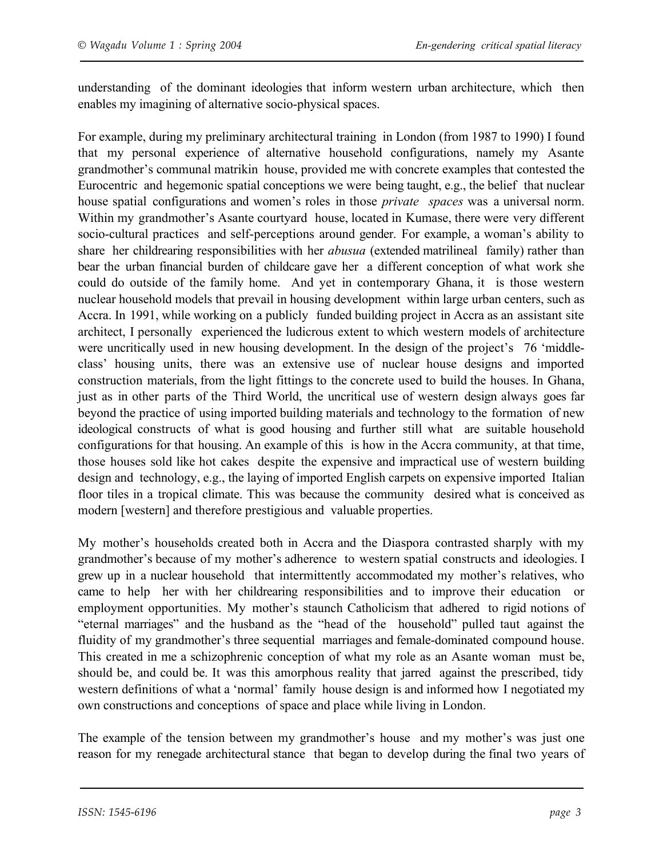understanding of the dominant ideologies that inform western urban architecture, which then enables my imagining of alternative socio-physical spaces.

For example, during my preliminary architectural training in London (from 1987 to 1990) I found that my personal experience of alternative household configurations, namely my Asante grandmother's communal matrikin house, provided me with concrete examples that contested the Eurocentric and hegemonic spatial conceptions we were being taught, e.g., the belief that nuclear house spatial configurations and women's roles in those *private spaces* was a universal norm. Within my grandmother's Asante courtyard house, located in Kumase, there were very different socio-cultural practices and self-perceptions around gender. For example, a woman's ability to share her childrearing responsibilities with her *abusua* (extended matrilineal family) rather than bear the urban financial burden of childcare gave her a different conception of what work she could do outside of the family home. And yet in contemporary Ghana, it is those western nuclear household models that prevail in housing development within large urban centers, such as Accra. In 1991, while working on a publicly funded building project in Accra as an assistant site architect, I personally experienced the ludicrous extent to which western models of architecture were uncritically used in new housing development. In the design of the project's 76 'middleclass' housing units, there was an extensive use of nuclear house designs and imported construction materials, from the light fittings to the concrete used to build the houses. In Ghana, just as in other parts of the Third World, the uncritical use of western design always goes far beyond the practice of using imported building materials and technology to the formation of new ideological constructs of what is good housing and further still what are suitable household configurations for that housing. An example of this is how in the Accra community, at that time, those houses sold like hot cakes despite the expensive and impractical use of western building design and technology, e.g., the laying of imported English carpets on expensive imported Italian floor tiles in a tropical climate. This was because the community desired what is conceived as modern [western] and therefore prestigious and valuable properties.

My mother's households created both in Accra and the Diaspora contrasted sharply with my grandmother's because of my mother's adherence to western spatial constructs and ideologies. I grew up in a nuclear household that intermittently accommodated my mother's relatives, who came to help her with her childrearing responsibilities and to improve their education or employment opportunities. My mother's staunch Catholicism that adhered to rigid notions of "eternal marriages" and the husband as the "head of the household" pulled taut against the fluidity of my grandmother's three sequential marriages and female-dominated compound house. This created in me a schizophrenic conception of what my role as an Asante woman must be, should be, and could be. It was this amorphous reality that jarred against the prescribed, tidy western definitions of what a 'normal' family house design is and informed how I negotiated my own constructions and conceptions of space and place while living in London.

The example of the tension between my grandmother's house and my mother's was just one reason for my renegade architectural stance that began to develop during the final two years of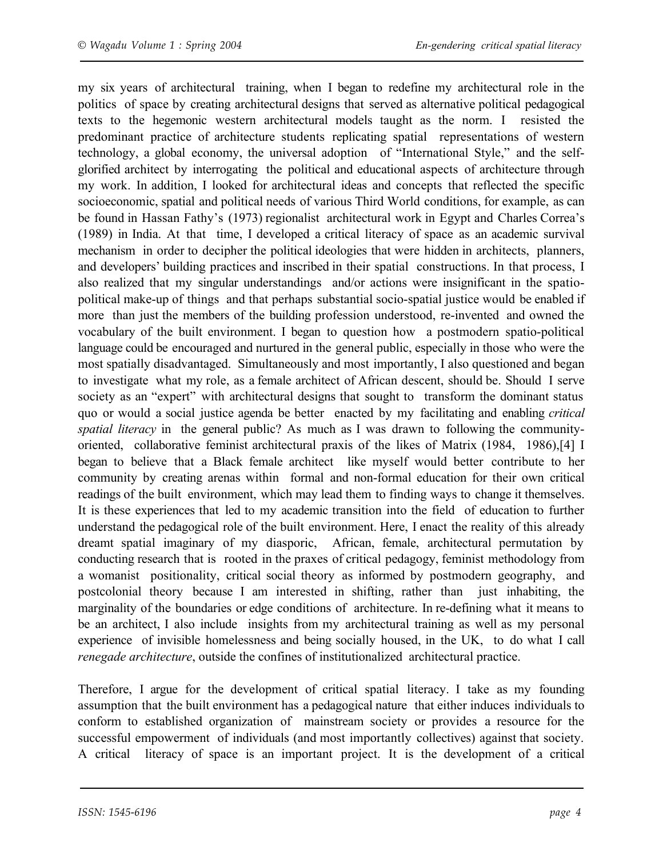my six years of architectural training, when I began to redefine my architectural role in the politics of space by creating architectural designs that served as alternative political pedagogical texts to the hegemonic western architectural models taught as the norm. I resisted the predominant practice of architecture students replicating spatial representations of western technology, a global economy, the universal adoption of "International Style," and the selfglorified architect by interrogating the political and educational aspects of architecture through my work. In addition, I looked for architectural ideas and concepts that reflected the specific socioeconomic, spatial and political needs of various Third World conditions, for example, as can be found in Hassan Fathy's (1973) regionalist architectural work in Egypt and Charles Correa's (1989) in India. At that time, I developed a critical literacy of space as an academic survival mechanism in order to decipher the political ideologies that were hidden in architects, planners, and developers' building practices and inscribed in their spatial constructions. In that process, I also realized that my singular understandings and/or actions were insignificant in the spatiopolitical make-up of things and that perhaps substantial socio-spatial justice would be enabled if more than just the members of the building profession understood, re-invented and owned the vocabulary of the built environment. I began to question how a postmodern spatio-political language could be encouraged and nurtured in the general public, especially in those who were the most spatially disadvantaged. Simultaneously and most importantly, I also questioned and began to investigate what my role, as a female architect of African descent, should be. Should I serve society as an "expert" with architectural designs that sought to transform the dominant status quo or would a social justice agenda be better enacted by my facilitating and enabling *critical spatial literacy* in the general public? As much as I was drawn to following the communityoriented, collaborative feminist architectural praxis of the likes of Matrix (1984, 1986),[4] I began to believe that a Black female architect like myself would better contribute to her community by creating arenas within formal and non-formal education for their own critical readings of the built environment, which may lead them to finding ways to change it themselves. It is these experiences that led to my academic transition into the field of education to further understand the pedagogical role of the built environment. Here, I enact the reality of this already dreamt spatial imaginary of my diasporic, African, female, architectural permutation by conducting research that is rooted in the praxes of critical pedagogy, feminist methodology from a womanist positionality, critical social theory as informed by postmodern geography, and postcolonial theory because I am interested in shifting, rather than just inhabiting, the marginality of the boundaries or edge conditions of architecture. In re-defining what it means to be an architect, I also include insights from my architectural training as well as my personal experience of invisible homelessness and being socially housed, in the UK, to do what I call *renegade architecture*, outside the confines of institutionalized architectural practice.

Therefore, I argue for the development of critical spatial literacy. I take as my founding assumption that the built environment has a pedagogical nature that either induces individuals to conform to established organization of mainstream society or provides a resource for the successful empowerment of individuals (and most importantly collectives) against that society. A critical literacy of space is an important project. It is the development of a critical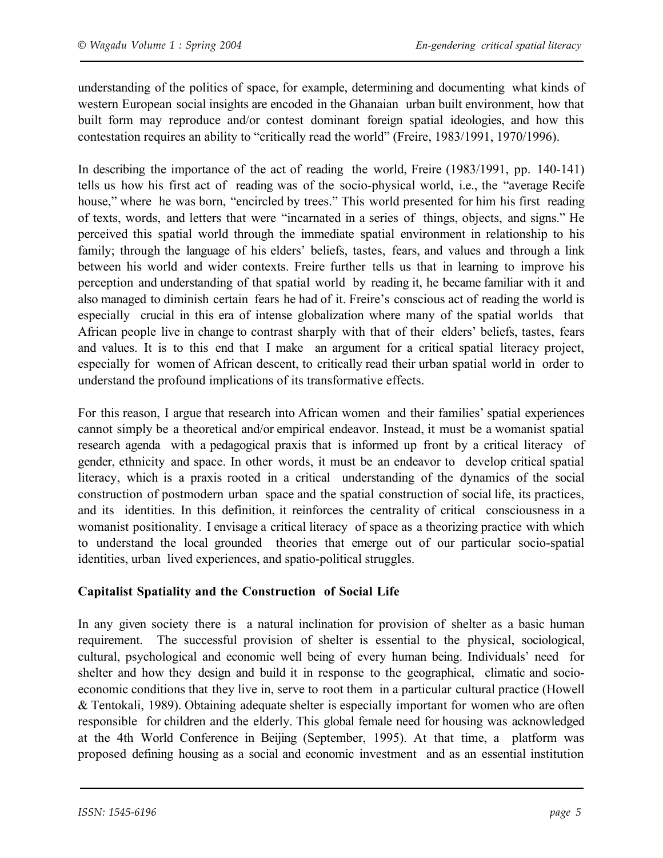understanding of the politics of space, for example, determining and documenting what kinds of western European social insights are encoded in the Ghanaian urban built environment, how that built form may reproduce and/or contest dominant foreign spatial ideologies, and how this contestation requires an ability to "critically read the world" (Freire, 1983/1991, 1970/1996).

In describing the importance of the act of reading the world, Freire (1983/1991, pp. 140-141) tells us how his first act of reading was of the socio-physical world, i.e., the "average Recife house," where he was born, "encircled by trees." This world presented for him his first reading of texts, words, and letters that were "incarnated in a series of things, objects, and signs." He perceived this spatial world through the immediate spatial environment in relationship to his family; through the language of his elders' beliefs, tastes, fears, and values and through a link between his world and wider contexts. Freire further tells us that in learning to improve his perception and understanding of that spatial world by reading it, he became familiar with it and also managed to diminish certain fears he had of it. Freire's conscious act of reading the world is especially crucial in this era of intense globalization where many of the spatial worlds that African people live in change to contrast sharply with that of their elders' beliefs, tastes, fears and values. It is to this end that I make an argument for a critical spatial literacy project, especially for women of African descent, to critically read their urban spatial world in order to understand the profound implications of its transformative effects.

For this reason, I argue that research into African women and their families' spatial experiences cannot simply be a theoretical and/or empirical endeavor. Instead, it must be a womanist spatial research agenda with a pedagogical praxis that is informed up front by a critical literacy of gender, ethnicity and space. In other words, it must be an endeavor to develop critical spatial literacy, which is a praxis rooted in a critical understanding of the dynamics of the social construction of postmodern urban space and the spatial construction of social life, its practices, and its identities. In this definition, it reinforces the centrality of critical consciousness in a womanist positionality. I envisage a critical literacy of space as a theorizing practice with which to understand the local grounded theories that emerge out of our particular socio-spatial identities, urban lived experiences, and spatio-political struggles.

#### **Capitalist Spatiality and the Construction of Social Life**

In any given society there is a natural inclination for provision of shelter as a basic human requirement. The successful provision of shelter is essential to the physical, sociological, cultural, psychological and economic well being of every human being. Individuals' need for shelter and how they design and build it in response to the geographical, climatic and socioeconomic conditions that they live in, serve to root them in a particular cultural practice (Howell & Tentokali, 1989). Obtaining adequate shelter is especially important for women who are often responsible for children and the elderly. This global female need for housing was acknowledged at the 4th World Conference in Beijing (September, 1995). At that time, a platform was proposed defining housing as a social and economic investment and as an essential institution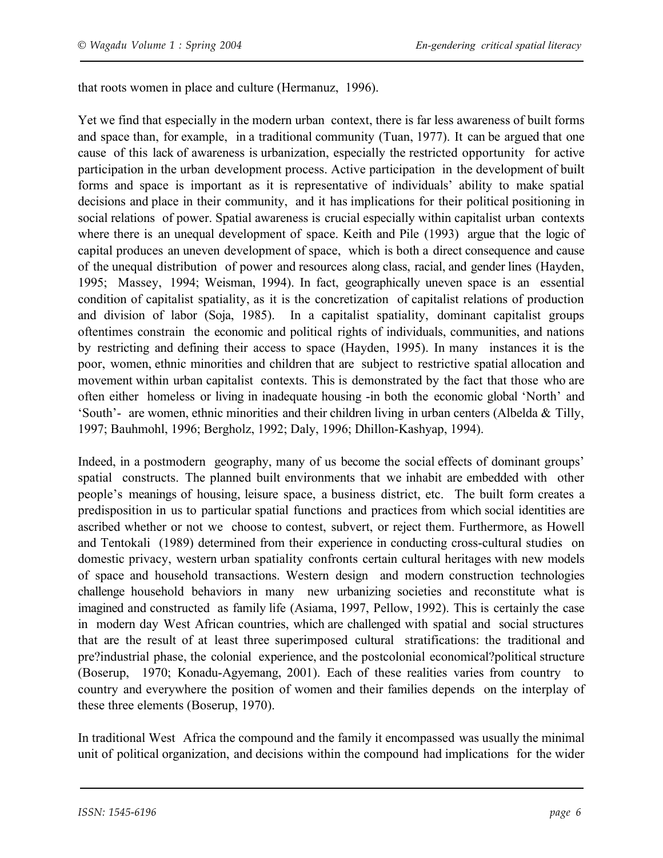that roots women in place and culture (Hermanuz, 1996).

Yet we find that especially in the modern urban context, there is far less awareness of built forms and space than, for example, in a traditional community (Tuan, 1977). It can be argued that one cause of this lack of awareness is urbanization, especially the restricted opportunity for active participation in the urban development process. Active participation in the development of built forms and space is important as it is representative of individuals' ability to make spatial decisions and place in their community, and it has implications for their political positioning in social relations of power. Spatial awareness is crucial especially within capitalist urban contexts where there is an unequal development of space. Keith and Pile (1993) argue that the logic of capital produces an uneven development of space, which is both a direct consequence and cause of the unequal distribution of power and resources along class, racial, and gender lines (Hayden, 1995; Massey, 1994; Weisman, 1994). In fact, geographically uneven space is an essential condition of capitalist spatiality, as it is the concretization of capitalist relations of production and division of labor (Soja, 1985). In a capitalist spatiality, dominant capitalist groups oftentimes constrain the economic and political rights of individuals, communities, and nations by restricting and defining their access to space (Hayden, 1995). In many instances it is the poor, women, ethnic minorities and children that are subject to restrictive spatial allocation and movement within urban capitalist contexts. This is demonstrated by the fact that those who are often either homeless or living in inadequate housing -in both the economic global 'North' and 'South'- are women, ethnic minorities and their children living in urban centers (Albelda & Tilly, 1997; Bauhmohl, 1996; Bergholz, 1992; Daly, 1996; Dhillon-Kashyap, 1994).

Indeed, in a postmodern geography, many of us become the social effects of dominant groups' spatial constructs. The planned built environments that we inhabit are embedded with other people's meanings of housing, leisure space, a business district, etc. The built form creates a predisposition in us to particular spatial functions and practices from which social identities are ascribed whether or not we choose to contest, subvert, or reject them. Furthermore, as Howell and Tentokali (1989) determined from their experience in conducting cross-cultural studies on domestic privacy, western urban spatiality confronts certain cultural heritages with new models of space and household transactions. Western design and modern construction technologies challenge household behaviors in many new urbanizing societies and reconstitute what is imagined and constructed as family life (Asiama, 1997, Pellow, 1992). This is certainly the case in modern day West African countries, which are challenged with spatial and social structures that are the result of at least three superimposed cultural stratifications: the traditional and pre?industrial phase, the colonial experience, and the postcolonial economical?political structure (Boserup, 1970; Konadu-Agyemang, 2001). Each of these realities varies from country to country and everywhere the position of women and their families depends on the interplay of these three elements (Boserup, 1970).

In traditional West Africa the compound and the family it encompassed was usually the minimal unit of political organization, and decisions within the compound had implications for the wider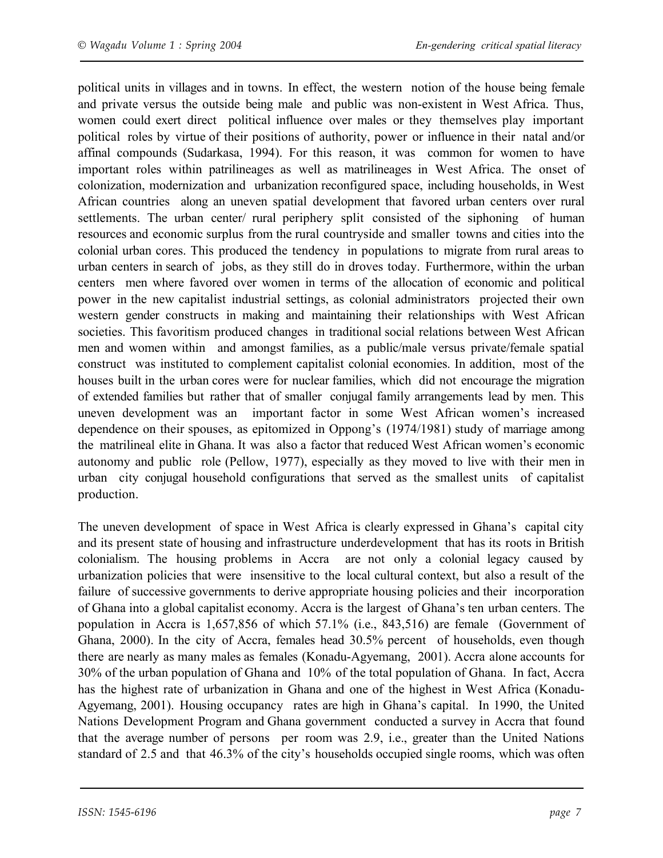political units in villages and in towns. In effect, the western notion of the house being female and private versus the outside being male and public was non-existent in West Africa. Thus, women could exert direct political influence over males or they themselves play important political roles by virtue of their positions of authority, power or influence in their natal and/or affinal compounds (Sudarkasa, 1994). For this reason, it was common for women to have important roles within patrilineages as well as matrilineages in West Africa. The onset of colonization, modernization and urbanization reconfigured space, including households, in West African countries along an uneven spatial development that favored urban centers over rural settlements. The urban center/ rural periphery split consisted of the siphoning of human resources and economic surplus from the rural countryside and smaller towns and cities into the colonial urban cores. This produced the tendency in populations to migrate from rural areas to urban centers in search of jobs, as they still do in droves today. Furthermore, within the urban centers men where favored over women in terms of the allocation of economic and political power in the new capitalist industrial settings, as colonial administrators projected their own western gender constructs in making and maintaining their relationships with West African societies. This favoritism produced changes in traditional social relations between West African men and women within and amongst families, as a public/male versus private/female spatial construct was instituted to complement capitalist colonial economies. In addition, most of the houses built in the urban cores were for nuclear families, which did not encourage the migration of extended families but rather that of smaller conjugal family arrangements lead by men. This uneven development was an important factor in some West African women's increased dependence on their spouses, as epitomized in Oppong's (1974/1981) study of marriage among the matrilineal elite in Ghana. It was also a factor that reduced West African women's economic autonomy and public role (Pellow, 1977), especially as they moved to live with their men in urban city conjugal household configurations that served as the smallest units of capitalist production.

The uneven development of space in West Africa is clearly expressed in Ghana's capital city and its present state of housing and infrastructure underdevelopment that has its roots in British colonialism. The housing problems in Accra are not only a colonial legacy caused by urbanization policies that were insensitive to the local cultural context, but also a result of the failure of successive governments to derive appropriate housing policies and their incorporation of Ghana into a global capitalist economy. Accra is the largest of Ghana's ten urban centers. The population in Accra is 1,657,856 of which 57.1% (i.e., 843,516) are female (Government of Ghana, 2000). In the city of Accra, females head 30.5% percent of households, even though there are nearly as many males as females (Konadu-Agyemang, 2001). Accra alone accounts for 30% of the urban population of Ghana and 10% of the total population of Ghana. In fact, Accra has the highest rate of urbanization in Ghana and one of the highest in West Africa (Konadu-Agyemang, 2001). Housing occupancy rates are high in Ghana's capital. In 1990, the United Nations Development Program and Ghana government conducted a survey in Accra that found that the average number of persons per room was 2.9, i.e., greater than the United Nations standard of 2.5 and that 46.3% of the city's households occupied single rooms, which was often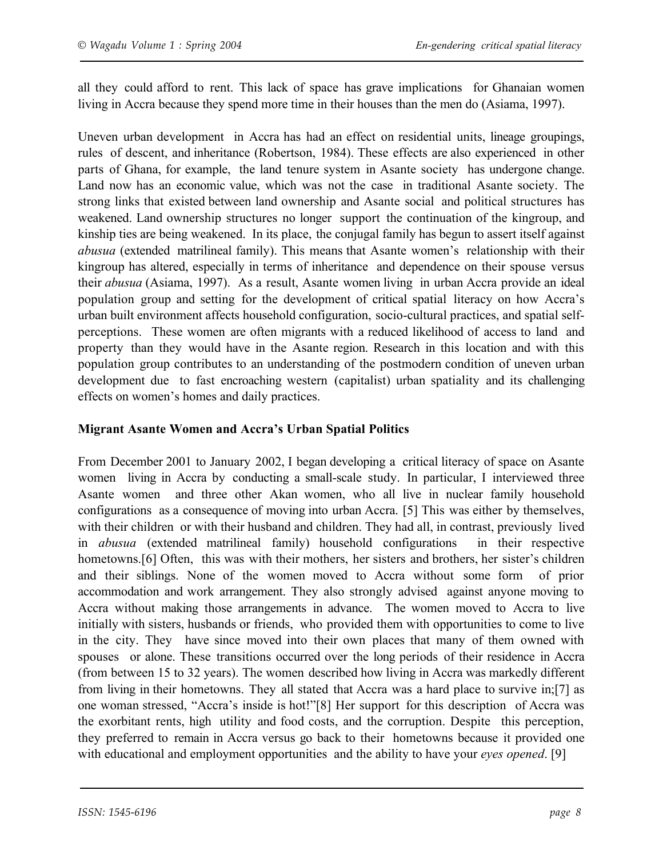all they could afford to rent. This lack of space has grave implications for Ghanaian women living in Accra because they spend more time in their houses than the men do (Asiama, 1997).

Uneven urban development in Accra has had an effect on residential units, lineage groupings, rules of descent, and inheritance (Robertson, 1984). These effects are also experienced in other parts of Ghana, for example, the land tenure system in Asante society has undergone change. Land now has an economic value, which was not the case in traditional Asante society. The strong links that existed between land ownership and Asante social and political structures has weakened. Land ownership structures no longer support the continuation of the kingroup, and kinship ties are being weakened. In its place, the conjugal family has begun to assert itself against *abusua* (extended matrilineal family). This means that Asante women's relationship with their kingroup has altered, especially in terms of inheritance and dependence on their spouse versus their *abusua* (Asiama, 1997). As a result, Asante women living in urban Accra provide an ideal population group and setting for the development of critical spatial literacy on how Accra's urban built environment affects household configuration, socio-cultural practices, and spatial selfperceptions. These women are often migrants with a reduced likelihood of access to land and property than they would have in the Asante region. Research in this location and with this population group contributes to an understanding of the postmodern condition of uneven urban development due to fast encroaching western (capitalist) urban spatiality and its challenging effects on women's homes and daily practices.

### **Migrant Asante Women and Accra's Urban Spatial Politics**

From December 2001 to January 2002, I began developing a critical literacy of space on Asante women living in Accra by conducting a small-scale study. In particular, I interviewed three Asante women and three other Akan women, who all live in nuclear family household configurations as a consequence of moving into urban Accra. [5] This was either by themselves, with their children or with their husband and children. They had all, in contrast, previously lived in *abusua* (extended matrilineal family) household configurations in their respective hometowns.<sup>[6]</sup> Often, this was with their mothers, her sisters and brothers, her sister's children and their siblings. None of the women moved to Accra without some form of prior accommodation and work arrangement. They also strongly advised against anyone moving to Accra without making those arrangements in advance. The women moved to Accra to live initially with sisters, husbands or friends, who provided them with opportunities to come to live in the city. They have since moved into their own places that many of them owned with spouses or alone. These transitions occurred over the long periods of their residence in Accra (from between 15 to 32 years). The women described how living in Accra was markedly different from living in their hometowns. They all stated that Accra was a hard place to survive in;[7] as one woman stressed, "Accra's inside is hot!"[8] Her support for this description of Accra was the exorbitant rents, high utility and food costs, and the corruption. Despite this perception, they preferred to remain in Accra versus go back to their hometowns because it provided one with educational and employment opportunities and the ability to have your *eyes opened*. [9]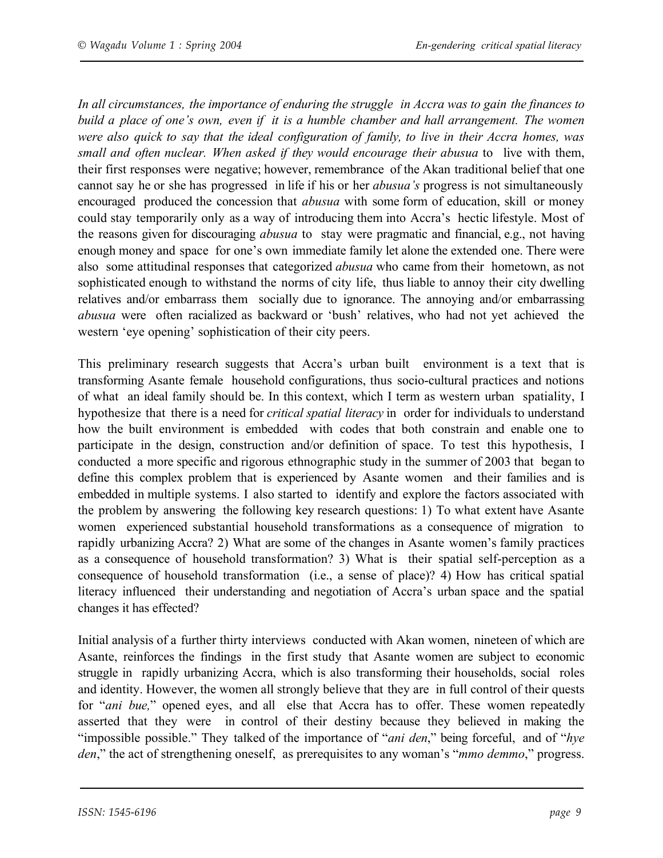*In all circumstances, the importance of enduring the struggle in Accra was to gain the finances to build a place of one's own, even if it is a humble chamber and hall arrangement. The women were also quick to say that the ideal configuration of family, to live in their Accra homes, was small and often nuclear. When asked if they would encourage their abusua* to live with them, their first responses were negative; however, remembrance of the Akan traditional belief that one cannot say he or she has progressed in life if his or her *abusua's* progress is not simultaneously encouraged produced the concession that *abusua* with some form of education, skill or money could stay temporarily only as a way of introducing them into Accra's hectic lifestyle. Most of the reasons given for discouraging *abusua* to stay were pragmatic and financial, e.g., not having enough money and space for one's own immediate family let alone the extended one. There were also some attitudinal responses that categorized *abusua* who came from their hometown, as not sophisticated enough to withstand the norms of city life, thus liable to annoy their city dwelling relatives and/or embarrass them socially due to ignorance. The annoying and/or embarrassing *abusua* were often racialized as backward or 'bush' relatives, who had not yet achieved the western 'eye opening' sophistication of their city peers.

This preliminary research suggests that Accra's urban built environment is a text that is transforming Asante female household configurations, thus socio-cultural practices and notions of what an ideal family should be. In this context, which I term as western urban spatiality, I hypothesize that there is a need for *critical spatial literacy* in order for individuals to understand how the built environment is embedded with codes that both constrain and enable one to participate in the design, construction and/or definition of space. To test this hypothesis, I conducted a more specific and rigorous ethnographic study in the summer of 2003 that began to define this complex problem that is experienced by Asante women and their families and is embedded in multiple systems. I also started to identify and explore the factors associated with the problem by answering the following key research questions: 1) To what extent have Asante women experienced substantial household transformations as a consequence of migration to rapidly urbanizing Accra? 2) What are some of the changes in Asante women's family practices as a consequence of household transformation? 3) What is their spatial self-perception as a consequence of household transformation (i.e., a sense of place)? 4) How has critical spatial literacy influenced their understanding and negotiation of Accra's urban space and the spatial changes it has effected?

Initial analysis of a further thirty interviews conducted with Akan women, nineteen of which are Asante, reinforces the findings in the first study that Asante women are subject to economic struggle in rapidly urbanizing Accra, which is also transforming their households, social roles and identity. However, the women all strongly believe that they are in full control of their quests for "*ani bue,*" opened eyes, and all else that Accra has to offer. These women repeatedly asserted that they were in control of their destiny because they believed in making the "impossible possible." They talked of the importance of "*ani den*," being forceful, and of "*hye den*," the act of strengthening oneself, as prerequisites to any woman's "*mmo demmo*," progress.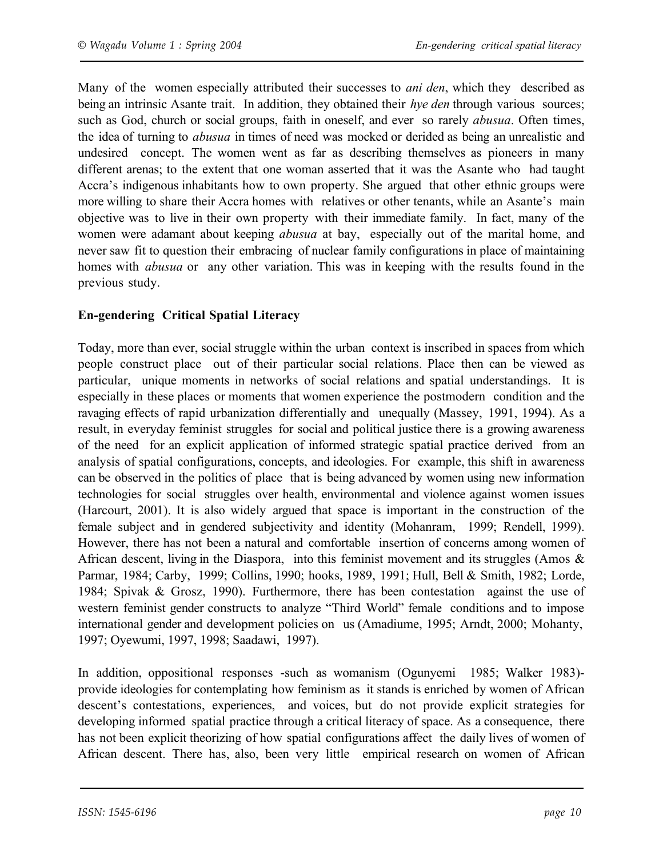Many of the women especially attributed their successes to *ani den*, which they described as being an intrinsic Asante trait. In addition, they obtained their *hye den* through various sources; such as God, church or social groups, faith in oneself, and ever so rarely *abusua*. Often times, the idea of turning to *abusua* in times of need was mocked or derided as being an unrealistic and undesired concept. The women went as far as describing themselves as pioneers in many different arenas; to the extent that one woman asserted that it was the Asante who had taught Accra's indigenous inhabitants how to own property. She argued that other ethnic groups were more willing to share their Accra homes with relatives or other tenants, while an Asante's main objective was to live in their own property with their immediate family. In fact, many of the women were adamant about keeping *abusua* at bay, especially out of the marital home, and never saw fit to question their embracing of nuclear family configurations in place of maintaining homes with *abusua* or any other variation. This was in keeping with the results found in the previous study.

#### **En-gendering Critical Spatial Literacy**

Today, more than ever, social struggle within the urban context is inscribed in spaces from which people construct place out of their particular social relations. Place then can be viewed as particular, unique moments in networks of social relations and spatial understandings. It is especially in these places or moments that women experience the postmodern condition and the ravaging effects of rapid urbanization differentially and unequally (Massey, 1991, 1994). As a result, in everyday feminist struggles for social and political justice there is a growing awareness of the need for an explicit application of informed strategic spatial practice derived from an analysis of spatial configurations, concepts, and ideologies. For example, this shift in awareness can be observed in the politics of place that is being advanced by women using new information technologies for social struggles over health, environmental and violence against women issues (Harcourt, 2001). It is also widely argued that space is important in the construction of the female subject and in gendered subjectivity and identity (Mohanram, 1999; Rendell, 1999). However, there has not been a natural and comfortable insertion of concerns among women of African descent, living in the Diaspora, into this feminist movement and its struggles (Amos  $\&$ Parmar, 1984; Carby, 1999; Collins, 1990; hooks, 1989, 1991; Hull, Bell & Smith, 1982; Lorde, 1984; Spivak & Grosz, 1990). Furthermore, there has been contestation against the use of western feminist gender constructs to analyze "Third World" female conditions and to impose international gender and development policies on us (Amadiume, 1995; Arndt, 2000; Mohanty, 1997; Oyewumi, 1997, 1998; Saadawi, 1997).

In addition, oppositional responses -such as womanism (Ogunyemi 1985; Walker 1983) provide ideologies for contemplating how feminism as it stands is enriched by women of African descent's contestations, experiences, and voices, but do not provide explicit strategies for developing informed spatial practice through a critical literacy of space. As a consequence, there has not been explicit theorizing of how spatial configurations affect the daily lives of women of African descent. There has, also, been very little empirical research on women of African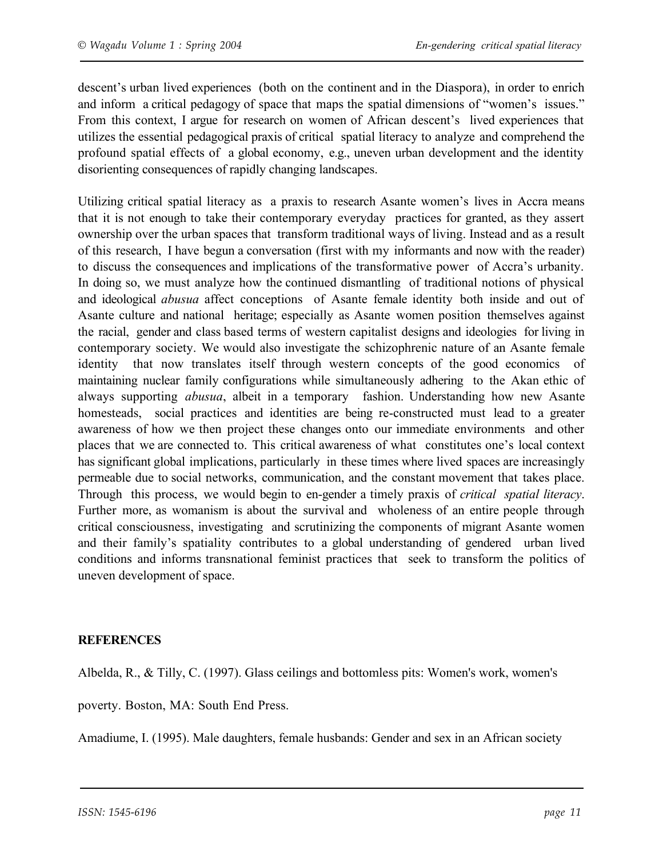descent's urban lived experiences (both on the continent and in the Diaspora), in order to enrich and inform a critical pedagogy of space that maps the spatial dimensions of "women's issues." From this context, I argue for research on women of African descent's lived experiences that utilizes the essential pedagogical praxis of critical spatial literacy to analyze and comprehend the profound spatial effects of a global economy, e.g., uneven urban development and the identity disorienting consequences of rapidly changing landscapes.

Utilizing critical spatial literacy as a praxis to research Asante women's lives in Accra means that it is not enough to take their contemporary everyday practices for granted, as they assert ownership over the urban spaces that transform traditional ways of living. Instead and as a result of this research, I have begun a conversation (first with my informants and now with the reader) to discuss the consequences and implications of the transformative power of Accra's urbanity. In doing so, we must analyze how the continued dismantling of traditional notions of physical and ideological *abusua* affect conceptions of Asante female identity both inside and out of Asante culture and national heritage; especially as Asante women position themselves against the racial, gender and class based terms of western capitalist designs and ideologies for living in contemporary society. We would also investigate the schizophrenic nature of an Asante female identity that now translates itself through western concepts of the good economics of maintaining nuclear family configurations while simultaneously adhering to the Akan ethic of always supporting *abusua*, albeit in a temporary fashion. Understanding how new Asante homesteads, social practices and identities are being re-constructed must lead to a greater awareness of how we then project these changes onto our immediate environments and other places that we are connected to. This critical awareness of what constitutes one's local context has significant global implications, particularly in these times where lived spaces are increasingly permeable due to social networks, communication, and the constant movement that takes place. Through this process, we would begin to en-gender a timely praxis of *critical spatial literacy*. Further more, as womanism is about the survival and wholeness of an entire people through critical consciousness, investigating and scrutinizing the components of migrant Asante women and their family's spatiality contributes to a global understanding of gendered urban lived conditions and informs transnational feminist practices that seek to transform the politics of uneven development of space.

#### **REFERENCES**

Albelda, R., & Tilly, C. (1997). Glass ceilings and bottomless pits: Women's work, women's

poverty. Boston, MA: South End Press.

Amadiume, I. (1995). Male daughters, female husbands: Gender and sex in an African society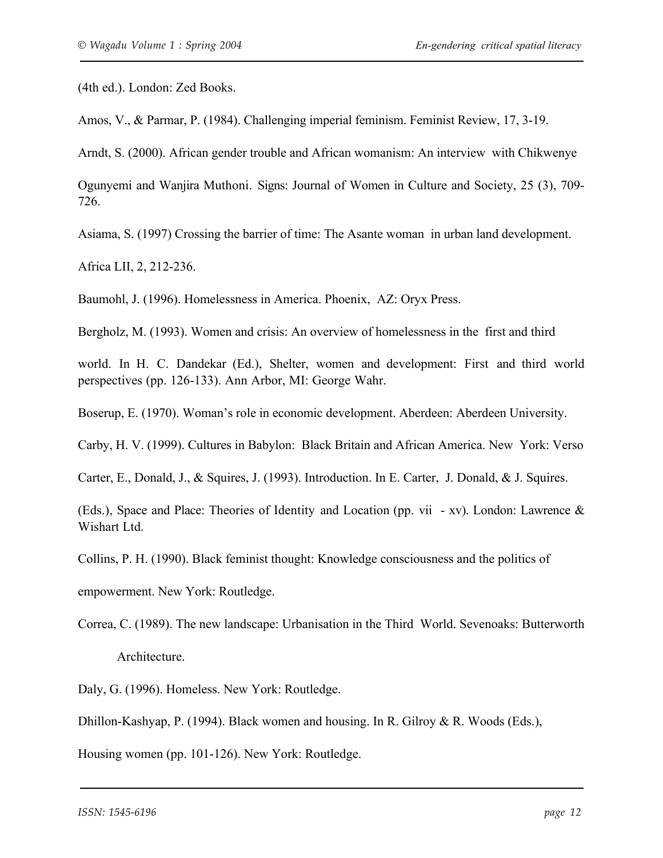(4th ed.). London: Zed Books.

Amos, V., & Parmar, P. (1984). Challenging imperial feminism. Feminist Review, 17, 3-19.

Arndt, S. (2000). African gender trouble and African womanism: An interview with Chikwenye

Ogunyemi and Wanjira Muthoni. Signs: Journal of Women in Culture and Society, 25 (3), 709- 726.

Asiama, S. (1997) Crossing the barrier of time: The Asante woman in urban land development.

Africa LII, 2, 212-236.

Baumohl, J. (1996). Homelessness in America. Phoenix, AZ: Oryx Press.

Bergholz, M. (1993). Women and crisis: An overview of homelessness in the first and third

world. In H. C. Dandekar (Ed.), Shelter, women and development: First and third world perspectives (pp. 126-133). Ann Arbor, MI: George Wahr.

Boserup, E. (1970). Woman's role in economic development. Aberdeen: Aberdeen University.

Carby, H. V. (1999). Cultures in Babylon: Black Britain and African America. New York: Verso

Carter, E., Donald, J., & Squires, J. (1993). Introduction. In E. Carter, J. Donald, & J. Squires.

(Eds.), Space and Place: Theories of Identity and Location (pp. vii - xv). London: Lawrence  $\&$ Wishart Ltd.

Collins, P. H. (1990). Black feminist thought: Knowledge consciousness and the politics of

empowerment. New York: Routledge.

Correa, C. (1989). The new landscape: Urbanisation in the Third World. Sevenoaks: Butterworth

Architecture.

Daly, G. (1996). Homeless. New York: Routledge.

Dhillon-Kashyap, P. (1994). Black women and housing. In R. Gilroy & R. Woods (Eds.),

Housing women (pp. 101-126). New York: Routledge.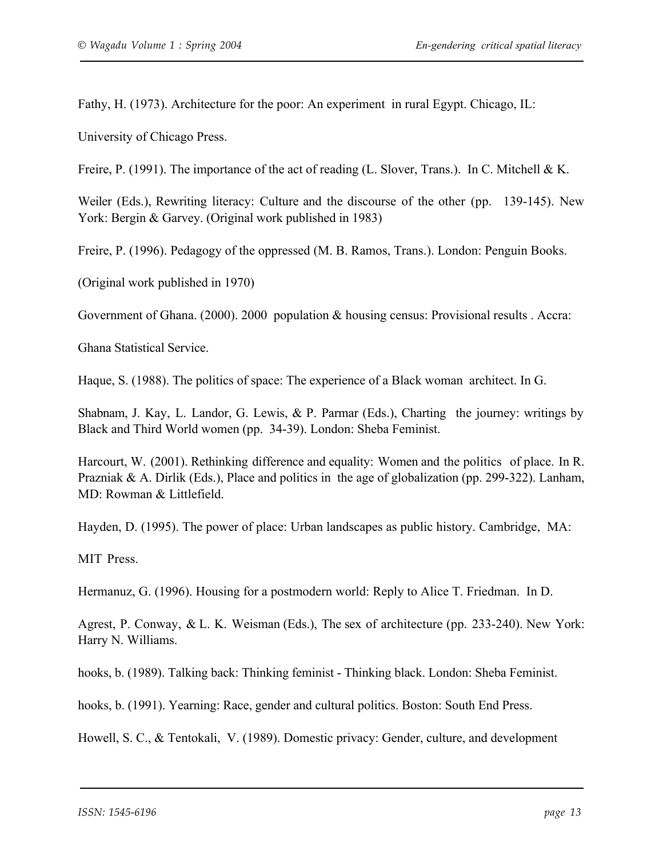Fathy, H. (1973). Architecture for the poor: An experiment in rural Egypt. Chicago, IL:

University of Chicago Press.

Freire, P. (1991). The importance of the act of reading (L. Slover, Trans.). In C. Mitchell & K.

Weiler (Eds.), Rewriting literacy: Culture and the discourse of the other (pp. 139-145). New York: Bergin & Garvey. (Original work published in 1983)

Freire, P. (1996). Pedagogy of the oppressed (M. B. Ramos, Trans.). London: Penguin Books.

(Original work published in 1970)

Government of Ghana. (2000). 2000 population & housing census: Provisional results . Accra:

Ghana Statistical Service.

Haque, S. (1988). The politics of space: The experience of a Black woman architect. In G.

Shabnam, J. Kay, L. Landor, G. Lewis, & P. Parmar (Eds.), Charting the journey: writings by Black and Third World women (pp. 34-39). London: Sheba Feminist.

Harcourt, W. (2001). Rethinking difference and equality: Women and the politics of place. In R. Prazniak & A. Dirlik (Eds.), Place and politics in the age of globalization (pp. 299-322). Lanham, MD: Rowman & Littlefield.

Hayden, D. (1995). The power of place: Urban landscapes as public history. Cambridge, MA:

MIT Press.

Hermanuz, G. (1996). Housing for a postmodern world: Reply to Alice T. Friedman. In D.

Agrest, P. Conway, & L. K. Weisman (Eds.), The sex of architecture (pp. 233-240). New York: Harry N. Williams.

hooks, b. (1989). Talking back: Thinking feminist - Thinking black. London: Sheba Feminist.

hooks, b. (1991). Yearning: Race, gender and cultural politics. Boston: South End Press.

Howell, S. C., & Tentokali, V. (1989). Domestic privacy: Gender, culture, and development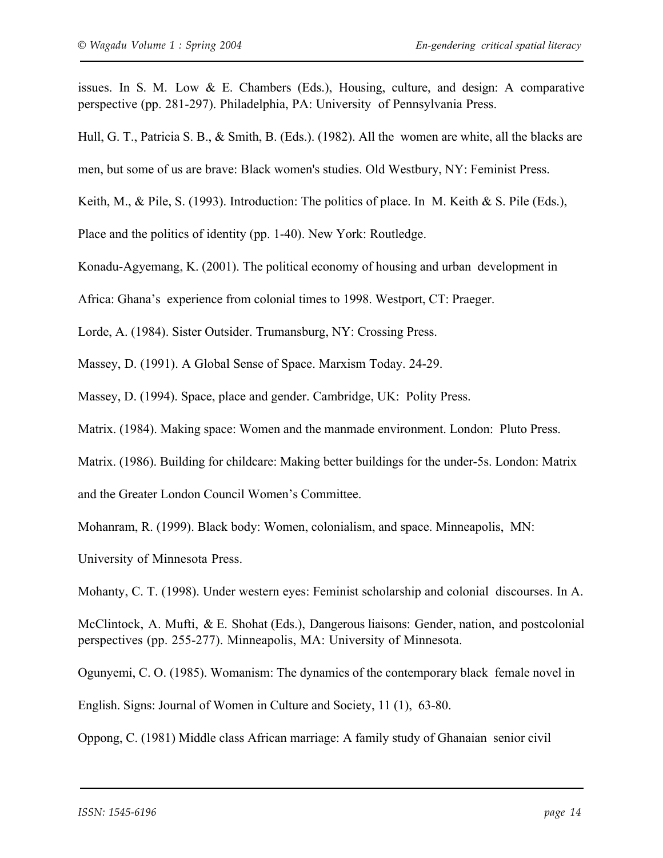issues. In S. M. Low  $\&$  E. Chambers (Eds.), Housing, culture, and design: A comparative perspective (pp. 281-297). Philadelphia, PA: University of Pennsylvania Press.

Hull, G. T., Patricia S. B., & Smith, B. (Eds.). (1982). All the women are white, all the blacks are

men, but some of us are brave: Black women's studies. Old Westbury, NY: Feminist Press.

Keith, M., & Pile, S. (1993). Introduction: The politics of place. In M. Keith & S. Pile (Eds.),

Place and the politics of identity (pp. 1-40). New York: Routledge.

Konadu-Agyemang, K. (2001). The political economy of housing and urban development in

Africa: Ghana's experience from colonial times to 1998. Westport, CT: Praeger.

Lorde, A. (1984). Sister Outsider. Trumansburg, NY: Crossing Press.

Massey, D. (1991). A Global Sense of Space. Marxism Today. 24-29.

Massey, D. (1994). Space, place and gender. Cambridge, UK: Polity Press.

Matrix. (1984). Making space: Women and the manmade environment. London: Pluto Press.

Matrix. (1986). Building for childcare: Making better buildings for the under-5s. London: Matrix

and the Greater London Council Women's Committee.

Mohanram, R. (1999). Black body: Women, colonialism, and space. Minneapolis, MN:

University of Minnesota Press.

Mohanty, C. T. (1998). Under western eyes: Feminist scholarship and colonial discourses. In A.

McClintock, A. Mufti, & E. Shohat (Eds.), Dangerous liaisons: Gender, nation, and postcolonial perspectives (pp. 255-277). Minneapolis, MA: University of Minnesota.

Ogunyemi, C. O. (1985). Womanism: The dynamics of the contemporary black female novel in English. Signs: Journal of Women in Culture and Society, 11 (1), 63-80.

Oppong, C. (1981) Middle class African marriage: A family study of Ghanaian senior civil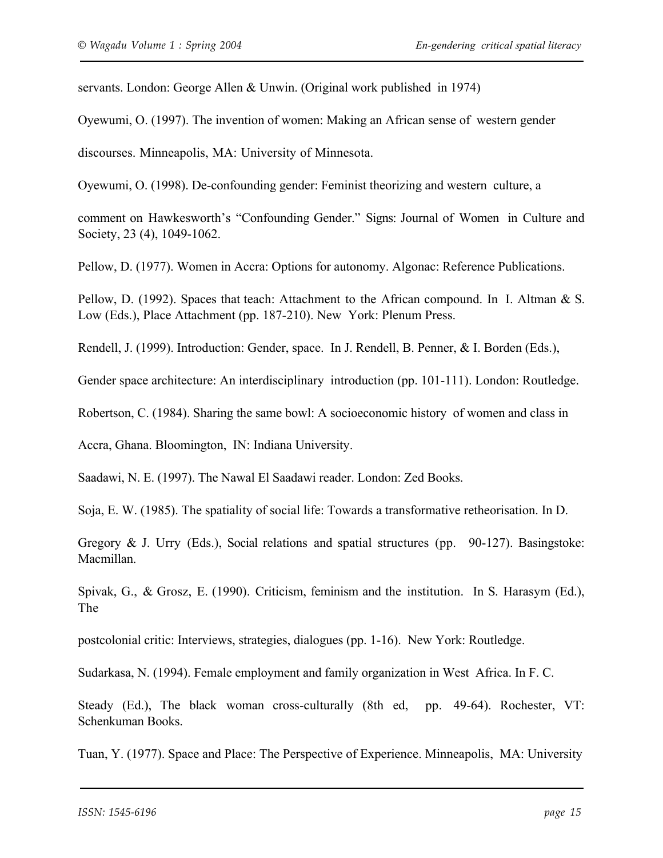servants. London: George Allen & Unwin. (Original work published in 1974)

Oyewumi, O. (1997). The invention of women: Making an African sense of western gender

discourses. Minneapolis, MA: University of Minnesota.

Oyewumi, O. (1998). De-confounding gender: Feminist theorizing and western culture, a

comment on Hawkesworth's "Confounding Gender." Signs: Journal of Women in Culture and Society, 23 (4), 1049-1062.

Pellow, D. (1977). Women in Accra: Options for autonomy. Algonac: Reference Publications.

Pellow, D. (1992). Spaces that teach: Attachment to the African compound. In I. Altman & S. Low (Eds.), Place Attachment (pp. 187-210). New York: Plenum Press.

Rendell, J. (1999). Introduction: Gender, space. In J. Rendell, B. Penner, & I. Borden (Eds.),

Gender space architecture: An interdisciplinary introduction (pp. 101-111). London: Routledge.

Robertson, C. (1984). Sharing the same bowl: A socioeconomic history of women and class in

Accra, Ghana. Bloomington, IN: Indiana University.

Saadawi, N. E. (1997). The Nawal El Saadawi reader. London: Zed Books.

Soja, E. W. (1985). The spatiality of social life: Towards a transformative retheorisation. In D.

Gregory & J. Urry (Eds.), Social relations and spatial structures (pp. 90-127). Basingstoke: Macmillan.

Spivak, G., & Grosz, E. (1990). Criticism, feminism and the institution. In S. Harasym (Ed.), The

postcolonial critic: Interviews, strategies, dialogues (pp. 1-16). New York: Routledge.

Sudarkasa, N. (1994). Female employment and family organization in West Africa. In F. C.

Steady (Ed.), The black woman cross-culturally (8th ed, pp. 49-64). Rochester, VT: Schenkuman Books.

Tuan, Y. (1977). Space and Place: The Perspective of Experience. Minneapolis, MA: University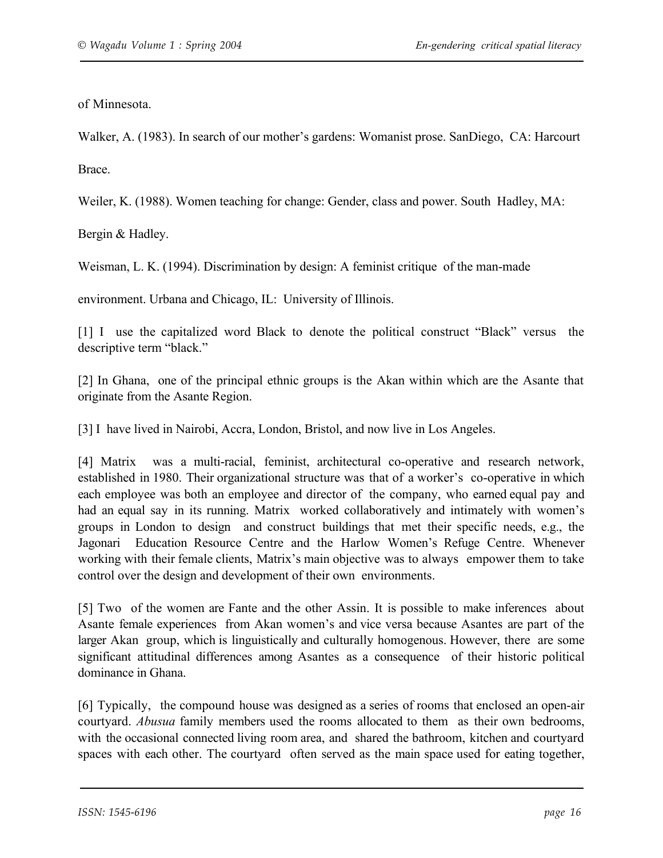of Minnesota.

Walker, A. (1983). In search of our mother's gardens: Womanist prose. SanDiego, CA: Harcourt

Brace.

Weiler, K. (1988). Women teaching for change: Gender, class and power. South Hadley, MA:

Bergin & Hadley.

Weisman, L. K. (1994). Discrimination by design: A feminist critique of the man-made

environment. Urbana and Chicago, IL: University of Illinois.

[1] I use the capitalized word Black to denote the political construct "Black" versus the descriptive term "black."

[2] In Ghana, one of the principal ethnic groups is the Akan within which are the Asante that originate from the Asante Region.

[3] I have lived in Nairobi, Accra, London, Bristol, and now live in Los Angeles.

[4] Matrix was a multi-racial, feminist, architectural co-operative and research network, established in 1980. Their organizational structure was that of a worker's co-operative in which each employee was both an employee and director of the company, who earned equal pay and had an equal say in its running. Matrix worked collaboratively and intimately with women's groups in London to design and construct buildings that met their specific needs, e.g., the Jagonari Education Resource Centre and the Harlow Women's Refuge Centre. Whenever working with their female clients, Matrix's main objective was to always empower them to take control over the design and development of their own environments.

[5] Two of the women are Fante and the other Assin. It is possible to make inferences about Asante female experiences from Akan women's and vice versa because Asantes are part of the larger Akan group, which is linguistically and culturally homogenous. However, there are some significant attitudinal differences among Asantes as a consequence of their historic political dominance in Ghana.

[6] Typically, the compound house was designed as a series of rooms that enclosed an open-air courtyard. *Abusua* family members used the rooms allocated to them as their own bedrooms, with the occasional connected living room area, and shared the bathroom, kitchen and courtyard spaces with each other. The courtyard often served as the main space used for eating together,